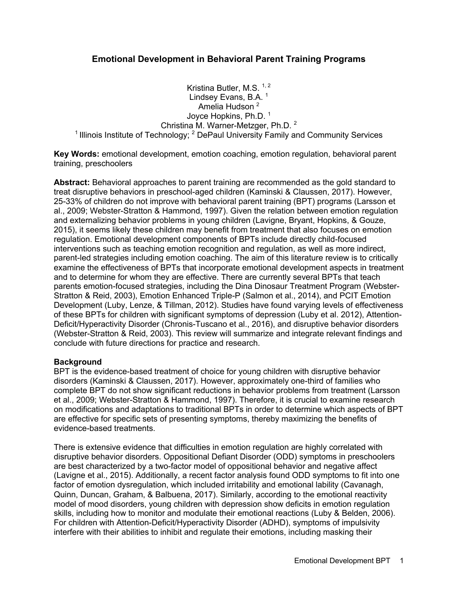# **Emotional Development in Behavioral Parent Training Programs**

Kristina Butler, M.S.  $1, 2$ Lindsey Evans, B.A.  $<sup>1</sup>$ </sup> Amelia Hudson<sup>2</sup> Joyce Hopkins, Ph.D.<sup>1</sup> Christina M. Warner-Metzger, Ph.D. 2 <sup>1</sup> Illinois Institute of Technology;  $2$  DePaul University Family and Community Services

**Key Words:** emotional development, emotion coaching, emotion regulation, behavioral parent training, preschoolers

**Abstract:** Behavioral approaches to parent training are recommended as the gold standard to treat disruptive behaviors in preschool-aged children (Kaminski & Claussen, 2017). However, 25-33% of children do not improve with behavioral parent training (BPT) programs (Larsson et al., 2009; Webster-Stratton & Hammond, 1997). Given the relation between emotion regulation and externalizing behavior problems in young children (Lavigne, Bryant, Hopkins, & Gouze, 2015), it seems likely these children may benefit from treatment that also focuses on emotion regulation. Emotional development components of BPTs include directly child-focused interventions such as teaching emotion recognition and regulation, as well as more indirect, parent-led strategies including emotion coaching. The aim of this literature review is to critically examine the effectiveness of BPTs that incorporate emotional development aspects in treatment and to determine for whom they are effective. There are currently several BPTs that teach parents emotion-focused strategies, including the Dina Dinosaur Treatment Program (Webster-Stratton & Reid, 2003), Emotion Enhanced Triple-P (Salmon et al., 2014), and PCIT Emotion Development (Luby, Lenze, & Tillman, 2012). Studies have found varying levels of effectiveness of these BPTs for children with significant symptoms of depression (Luby et al. 2012), Attention-Deficit/Hyperactivity Disorder (Chronis-Tuscano et al., 2016), and disruptive behavior disorders (Webster-Stratton & Reid, 2003). This review will summarize and integrate relevant findings and conclude with future directions for practice and research.

# **Background**

BPT is the evidence-based treatment of choice for young children with disruptive behavior disorders (Kaminski & Claussen, 2017). However, approximately one-third of families who complete BPT do not show significant reductions in behavior problems from treatment (Larsson et al., 2009; Webster-Stratton & Hammond, 1997). Therefore, it is crucial to examine research on modifications and adaptations to traditional BPTs in order to determine which aspects of BPT are effective for specific sets of presenting symptoms, thereby maximizing the benefits of evidence-based treatments.

There is extensive evidence that difficulties in emotion regulation are highly correlated with disruptive behavior disorders. Oppositional Defiant Disorder (ODD) symptoms in preschoolers are best characterized by a two-factor model of oppositional behavior and negative affect (Lavigne et al., 2015). Additionally, a recent factor analysis found ODD symptoms to fit into one factor of emotion dysregulation, which included irritability and emotional lability (Cavanagh, Quinn, Duncan, Graham, & Balbuena, 2017). Similarly, according to the emotional reactivity model of mood disorders, young children with depression show deficits in emotion regulation skills, including how to monitor and modulate their emotional reactions (Luby & Belden, 2006). For children with Attention-Deficit/Hyperactivity Disorder (ADHD), symptoms of impulsivity interfere with their abilities to inhibit and regulate their emotions, including masking their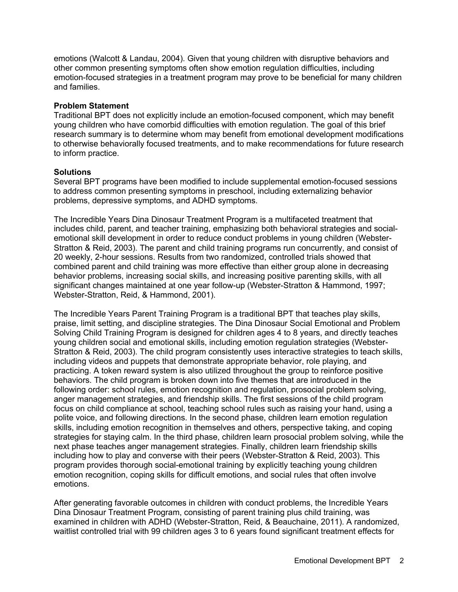emotions (Walcott & Landau, 2004). Given that young children with disruptive behaviors and other common presenting symptoms often show emotion regulation difficulties, including emotion-focused strategies in a treatment program may prove to be beneficial for many children and families.

#### **Problem Statement**

Traditional BPT does not explicitly include an emotion-focused component, which may benefit young children who have comorbid difficulties with emotion regulation. The goal of this brief research summary is to determine whom may benefit from emotional development modifications to otherwise behaviorally focused treatments, and to make recommendations for future research to inform practice.

## **Solutions**

Several BPT programs have been modified to include supplemental emotion-focused sessions to address common presenting symptoms in preschool, including externalizing behavior problems, depressive symptoms, and ADHD symptoms.

The Incredible Years Dina Dinosaur Treatment Program is a multifaceted treatment that includes child, parent, and teacher training, emphasizing both behavioral strategies and socialemotional skill development in order to reduce conduct problems in young children (Webster-Stratton & Reid, 2003). The parent and child training programs run concurrently, and consist of 20 weekly, 2-hour sessions. Results from two randomized, controlled trials showed that combined parent and child training was more effective than either group alone in decreasing behavior problems, increasing social skills, and increasing positive parenting skills, with all significant changes maintained at one year follow-up (Webster-Stratton & Hammond, 1997; Webster-Stratton, Reid, & Hammond, 2001).

The Incredible Years Parent Training Program is a traditional BPT that teaches play skills, praise, limit setting, and discipline strategies. The Dina Dinosaur Social Emotional and Problem Solving Child Training Program is designed for children ages 4 to 8 years, and directly teaches young children social and emotional skills, including emotion regulation strategies (Webster-Stratton & Reid, 2003). The child program consistently uses interactive strategies to teach skills, including videos and puppets that demonstrate appropriate behavior, role playing, and practicing. A token reward system is also utilized throughout the group to reinforce positive behaviors. The child program is broken down into five themes that are introduced in the following order: school rules, emotion recognition and regulation, prosocial problem solving, anger management strategies, and friendship skills. The first sessions of the child program focus on child compliance at school, teaching school rules such as raising your hand, using a polite voice, and following directions. In the second phase, children learn emotion regulation skills, including emotion recognition in themselves and others, perspective taking, and coping strategies for staying calm. In the third phase, children learn prosocial problem solving, while the next phase teaches anger management strategies. Finally, children learn friendship skills including how to play and converse with their peers (Webster-Stratton & Reid, 2003). This program provides thorough social-emotional training by explicitly teaching young children emotion recognition, coping skills for difficult emotions, and social rules that often involve emotions.

After generating favorable outcomes in children with conduct problems, the Incredible Years Dina Dinosaur Treatment Program, consisting of parent training plus child training, was examined in children with ADHD (Webster-Stratton, Reid, & Beauchaine, 2011). A randomized, waitlist controlled trial with 99 children ages 3 to 6 years found significant treatment effects for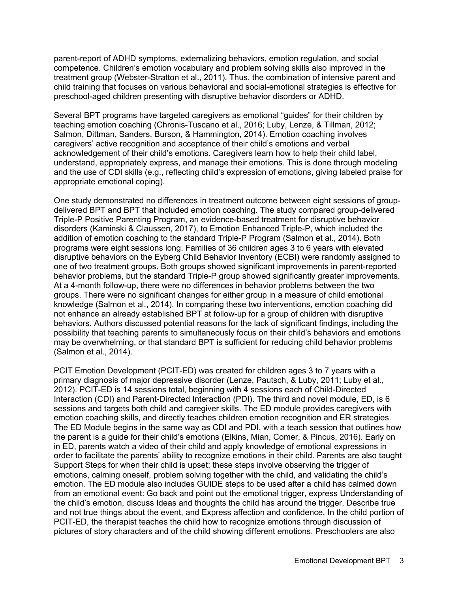parent-report of ADHD symptoms, externalizing behaviors, emotion regulation, and social competence. Children's emotion vocabulary and problem solving skills also improved in the treatment group (Webster-Stratton et al., 2011). Thus, the combination of intensive parent and child training that focuses on various behavioral and social-emotional strategies is effective for preschool-aged children presenting with disruptive behavior disorders or ADHD.

Several BPT programs have targeted caregivers as emotional "guides" for their children by teaching emotion coaching (Chronis-Tuscano et al., 2016; Luby, Lenze, & Tillman, 2012; Salmon, Dittman, Sanders, Burson, & Hammington, 2014). Emotion coaching involves caregivers' active recognition and acceptance of their child's emotions and verbal acknowledgement of their child's emotions. Caregivers learn how to help their child label, understand, appropriately express, and manage their emotions. This is done through modeling and the use of CDI skills (e.g., reflecting child's expression of emotions, giving labeled praise for appropriate emotional coping).

One study demonstrated no differences in treatment outcome between eight sessions of groupdelivered BPT and BPT that included emotion coaching. The study compared group-delivered Triple-P Positive Parenting Program, an evidence-based treatment for disruptive behavior disorders (Kaminski & Claussen, 2017), to Emotion Enhanced Triple-P, which included the addition of emotion coaching to the standard Triple-P Program (Salmon et al., 2014). Both programs were eight sessions long. Families of 36 children ages 3 to 6 years with elevated disruptive behaviors on the Eyberg Child Behavior Inventory (ECBI) were randomly assigned to one of two treatment groups. Both groups showed significant improvements in parent-reported behavior problems, but the standard Triple-P group showed significantly greater improvements. At a 4-month follow-up, there were no differences in behavior problems between the two groups. There were no significant changes for either group in a measure of child emotional knowledge (Salmon et al., 2014). In comparing these two interventions, emotion coaching did not enhance an already established BPT at follow-up for a group of children with disruptive behaviors. Authors discussed potential reasons for the lack of significant findings, including the possibility that teaching parents to simultaneously focus on their child's behaviors and emotions may be overwhelming, or that standard BPT is sufficient for reducing child behavior problems (Salmon et al., 2014).

PCIT Emotion Development (PCIT-ED) was created for children ages 3 to 7 years with a primary diagnosis of major depressive disorder (Lenze, Pautsch, & Luby, 2011; Luby et al., 2012). PCIT-ED is 14 sessions total, beginning with 4 sessions each of Child-Directed Interaction (CDI) and Parent-Directed Interaction (PDI). The third and novel module, ED, is 6 sessions and targets both child and caregiver skills. The ED module provides caregivers with emotion coaching skills, and directly teaches children emotion recognition and ER strategies. The ED Module begins in the same way as CDI and PDI, with a teach session that outlines how the parent is a guide for their child's emotions (Elkins, Mian, Comer, & Pincus, 2016). Early on in ED, parents watch a video of their child and apply knowledge of emotional expressions in order to facilitate the parents' ability to recognize emotions in their child. Parents are also taught Support Steps for when their child is upset; these steps involve observing the trigger of emotions, calming oneself, problem solving together with the child, and validating the child's emotion. The ED module also includes GUIDE steps to be used after a child has calmed down from an emotional event: Go back and point out the emotional trigger, express Understanding of the child's emotion, discuss Ideas and thoughts the child has around the trigger, Describe true and not true things about the event, and Express affection and confidence. In the child portion of PCIT-ED, the therapist teaches the child how to recognize emotions through discussion of pictures of story characters and of the child showing different emotions. Preschoolers are also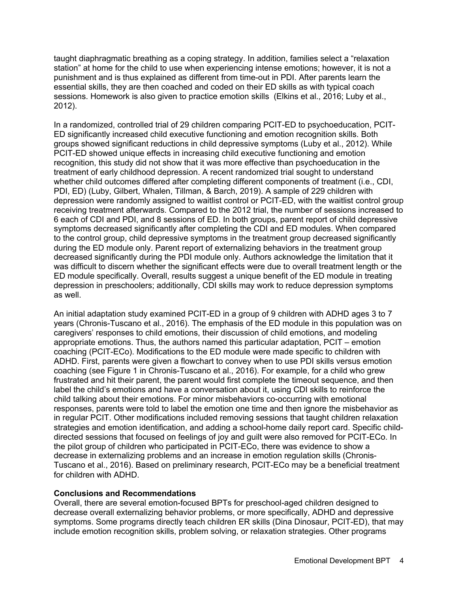taught diaphragmatic breathing as a coping strategy. In addition, families select a "relaxation station" at home for the child to use when experiencing intense emotions; however, it is not a punishment and is thus explained as different from time-out in PDI. After parents learn the essential skills, they are then coached and coded on their ED skills as with typical coach sessions. Homework is also given to practice emotion skills (Elkins et al., 2016; Luby et al., 2012).

In a randomized, controlled trial of 29 children comparing PCIT-ED to psychoeducation, PCIT-ED significantly increased child executive functioning and emotion recognition skills. Both groups showed significant reductions in child depressive symptoms (Luby et al., 2012). While PCIT-ED showed unique effects in increasing child executive functioning and emotion recognition, this study did not show that it was more effective than psychoeducation in the treatment of early childhood depression. A recent randomized trial sought to understand whether child outcomes differed after completing different components of treatment (i.e., CDI, PDI, ED) (Luby, Gilbert, Whalen, Tillman, & Barch, 2019). A sample of 229 children with depression were randomly assigned to waitlist control or PCIT-ED, with the waitlist control group receiving treatment afterwards. Compared to the 2012 trial, the number of sessions increased to 6 each of CDI and PDI, and 8 sessions of ED. In both groups, parent report of child depressive symptoms decreased significantly after completing the CDI and ED modules. When compared to the control group, child depressive symptoms in the treatment group decreased significantly during the ED module only. Parent report of externalizing behaviors in the treatment group decreased significantly during the PDI module only. Authors acknowledge the limitation that it was difficult to discern whether the significant effects were due to overall treatment length or the ED module specifically. Overall, results suggest a unique benefit of the ED module in treating depression in preschoolers; additionally, CDI skills may work to reduce depression symptoms as well.

An initial adaptation study examined PCIT-ED in a group of 9 children with ADHD ages 3 to 7 years (Chronis-Tuscano et al., 2016). The emphasis of the ED module in this population was on caregivers' responses to child emotions, their discussion of child emotions, and modeling appropriate emotions. Thus, the authors named this particular adaptation, PCIT – emotion coaching (PCIT-ECo). Modifications to the ED module were made specific to children with ADHD. First, parents were given a flowchart to convey when to use PDI skills versus emotion coaching (see Figure 1 in Chronis-Tuscano et al., 2016). For example, for a child who grew frustrated and hit their parent, the parent would first complete the timeout sequence, and then label the child's emotions and have a conversation about it, using CDI skills to reinforce the child talking about their emotions. For minor misbehaviors co-occurring with emotional responses, parents were told to label the emotion one time and then ignore the misbehavior as in regular PCIT. Other modifications included removing sessions that taught children relaxation strategies and emotion identification, and adding a school-home daily report card. Specific childdirected sessions that focused on feelings of joy and guilt were also removed for PCIT-ECo. In the pilot group of children who participated in PCIT-ECo, there was evidence to show a decrease in externalizing problems and an increase in emotion regulation skills (Chronis-Tuscano et al., 2016). Based on preliminary research, PCIT-ECo may be a beneficial treatment for children with ADHD.

# **Conclusions and Recommendations**

Overall, there are several emotion-focused BPTs for preschool-aged children designed to decrease overall externalizing behavior problems, or more specifically, ADHD and depressive symptoms. Some programs directly teach children ER skills (Dina Dinosaur, PCIT-ED), that may include emotion recognition skills, problem solving, or relaxation strategies. Other programs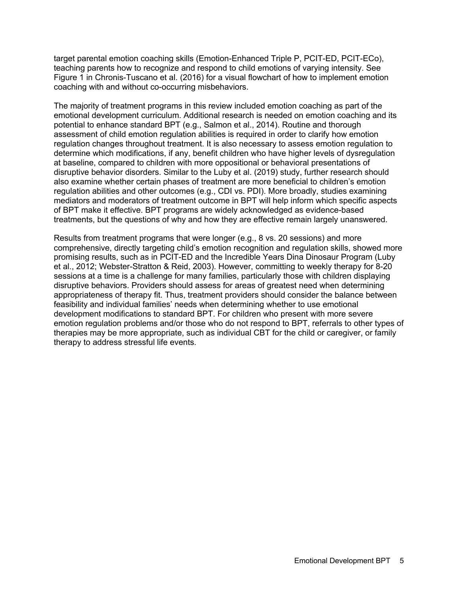target parental emotion coaching skills (Emotion-Enhanced Triple P, PCIT-ED, PCIT-ECo), teaching parents how to recognize and respond to child emotions of varying intensity. See Figure 1 in Chronis-Tuscano et al. (2016) for a visual flowchart of how to implement emotion coaching with and without co-occurring misbehaviors.

The majority of treatment programs in this review included emotion coaching as part of the emotional development curriculum. Additional research is needed on emotion coaching and its potential to enhance standard BPT (e.g., Salmon et al., 2014). Routine and thorough assessment of child emotion regulation abilities is required in order to clarify how emotion regulation changes throughout treatment. It is also necessary to assess emotion regulation to determine which modifications, if any, benefit children who have higher levels of dysregulation at baseline, compared to children with more oppositional or behavioral presentations of disruptive behavior disorders. Similar to the Luby et al. (2019) study, further research should also examine whether certain phases of treatment are more beneficial to children's emotion regulation abilities and other outcomes (e.g., CDI vs. PDI). More broadly, studies examining mediators and moderators of treatment outcome in BPT will help inform which specific aspects of BPT make it effective. BPT programs are widely acknowledged as evidence-based treatments, but the questions of why and how they are effective remain largely unanswered.

Results from treatment programs that were longer (e.g., 8 vs. 20 sessions) and more comprehensive, directly targeting child's emotion recognition and regulation skills, showed more promising results, such as in PCIT-ED and the Incredible Years Dina Dinosaur Program (Luby et al., 2012; Webster-Stratton & Reid, 2003). However, committing to weekly therapy for 8-20 sessions at a time is a challenge for many families, particularly those with children displaying disruptive behaviors. Providers should assess for areas of greatest need when determining appropriateness of therapy fit. Thus, treatment providers should consider the balance between feasibility and individual families' needs when determining whether to use emotional development modifications to standard BPT. For children who present with more severe emotion regulation problems and/or those who do not respond to BPT, referrals to other types of therapies may be more appropriate, such as individual CBT for the child or caregiver, or family therapy to address stressful life events.